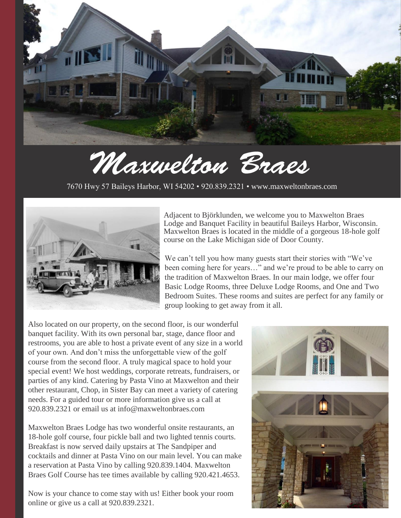

# Maxwelton Braes

7670 Hwy 57 Baileys Harbor, WI 54202 • 920.839.2321 • [www.maxweltonbraes.com](http://www.maxweltonbraes.com/)



Adjacent to Björklunden, we welcome you to Maxwelton Braes Lodge and Banquet Facility in beautiful Baileys Harbor, Wisconsin. Maxwelton Braes is located in the middle of a gorgeous 18-hole golf course on the Lake Michigan side of Door County.

We can't tell you how many guests start their stories with "We've been coming here for years…" and we're proud to be able to carry on the tradition of Maxwelton Braes. In our main lodge, we offer four Basic Lodge Rooms, three Deluxe Lodge Rooms, and One and Two Bedroom Suites. These rooms and suites are perfect for any family or group looking to get away from it all.

Also located on our property, on the second floor, is our wonderful banquet facility. With its own personal bar, stage, dance floor and restrooms, you are able to host a private event of any size in a world of your own. And don't miss the unforgettable view of the golf course from the second floor. A truly magical space to hold your special event! We host weddings, corporate retreats, fundraisers, or parties of any kind. Catering by Pasta Vino at Maxwelton and their other restaurant, Chop, in Sister Bay can meet a variety of catering needs. For a guided tour or more information give us a call at 920.839.2321 or email us at info@maxweltonbraes.com

Maxwelton Braes Lodge has two wonderful onsite restaurants, an 18-hole golf course, four pickle ball and two lighted tennis courts. Breakfast is now served daily upstairs at The Sandpiper and cocktails and dinner at Pasta Vino on our main level. You can make a reservation at Pasta Vino by calling 920.839.1404. Maxwelton Braes Golf Course has tee times available by calling 920.421.4653.

Now is your chance to come stay with us! Either book your room online or give us a call at 920.839.2321.